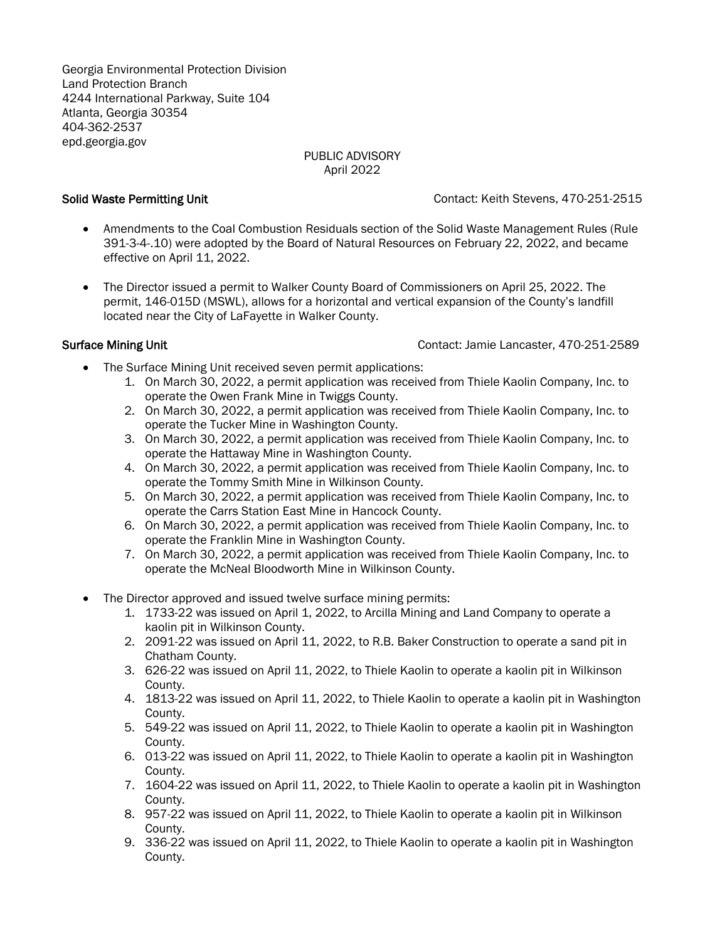Georgia Environmental Protection Division Land Protection Branch 4244 International Parkway, Suite 104 Atlanta, Georgia 30354 404-362-2537 [epd.georgia.gov](http://www.epd.georgia.gov/)

# PUBLIC ADVISORY April 2022

Solid Waste Permitting Unit Contact: Keith Stevens, 470-251-2515

- Amendments to the Coal Combustion Residuals section of the Solid Waste Management Rules (Rule 391-3-4-.10) were adopted by the Board of Natural Resources on February 22, 2022, and became effective on April 11, 2022.
- The Director issued a permit to Walker County Board of Commissioners on April 25, 2022. The permit, 146-015D (MSWL), allows for a horizontal and vertical expansion of the County's landfill located near the City of LaFayette in Walker County.

Surface Mining Unit Contact: Jamie Lancaster, 470-251-2589

- The Surface Mining Unit received seven permit applications:
	- 1. On March 30, 2022, a permit application was received from Thiele Kaolin Company, Inc. to operate the Owen Frank Mine in Twiggs County.
	- 2. On March 30, 2022, a permit application was received from Thiele Kaolin Company, Inc. to operate the Tucker Mine in Washington County.
	- 3. On March 30, 2022, a permit application was received from Thiele Kaolin Company, Inc. to operate the Hattaway Mine in Washington County.
	- 4. On March 30, 2022, a permit application was received from Thiele Kaolin Company, Inc. to operate the Tommy Smith Mine in Wilkinson County.
	- 5. On March 30, 2022, a permit application was received from Thiele Kaolin Company, Inc. to operate the Carrs Station East Mine in Hancock County.
	- 6. On March 30, 2022, a permit application was received from Thiele Kaolin Company, Inc. to operate the Franklin Mine in Washington County.
	- 7. On March 30, 2022, a permit application was received from Thiele Kaolin Company, Inc. to operate the McNeal Bloodworth Mine in Wilkinson County.
- The Director approved and issued twelve surface mining permits:
	- 1. 1733-22 was issued on April 1, 2022, to Arcilla Mining and Land Company to operate a kaolin pit in Wilkinson County.
	- 2. 2091-22 was issued on April 11, 2022, to R.B. Baker Construction to operate a sand pit in Chatham County.
	- 3. 626-22 was issued on April 11, 2022, to Thiele Kaolin to operate a kaolin pit in Wilkinson County.
	- 4. 1813-22 was issued on April 11, 2022, to Thiele Kaolin to operate a kaolin pit in Washington County.
	- 5. 549-22 was issued on April 11, 2022, to Thiele Kaolin to operate a kaolin pit in Washington County.
	- 6. 013-22 was issued on April 11, 2022, to Thiele Kaolin to operate a kaolin pit in Washington County.
	- 7. 1604-22 was issued on April 11, 2022, to Thiele Kaolin to operate a kaolin pit in Washington County.
	- 8. 957-22 was issued on April 11, 2022, to Thiele Kaolin to operate a kaolin pit in Wilkinson County.
	- 9. 336-22 was issued on April 11, 2022, to Thiele Kaolin to operate a kaolin pit in Washington County.